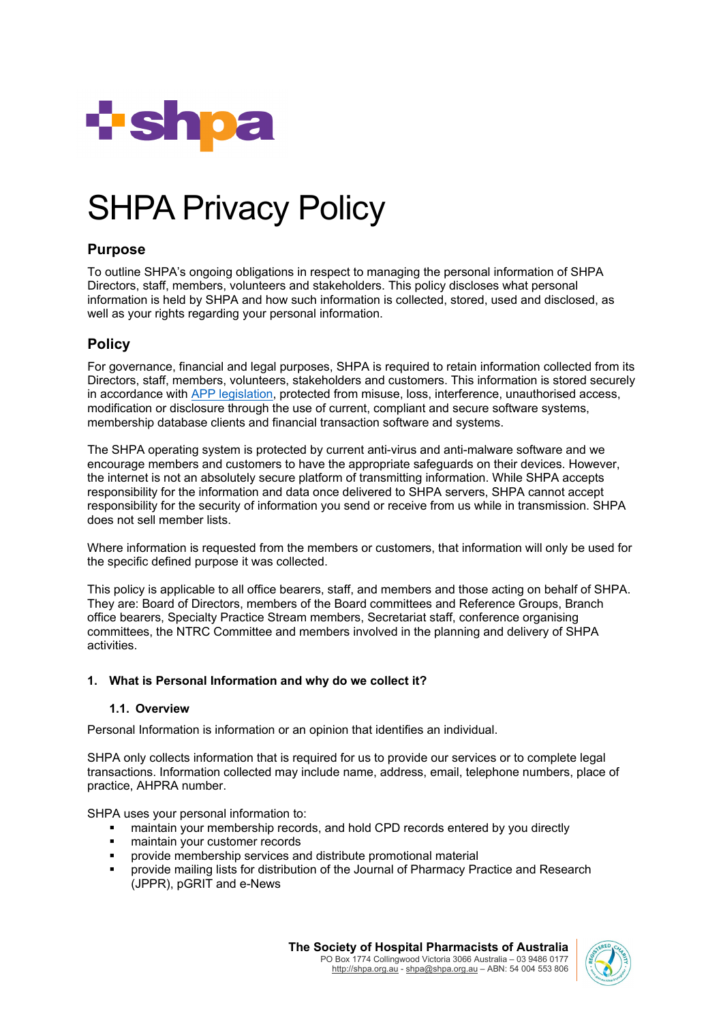

# SHPA Privacy Policy

# **Purpose**

To outline SHPA's ongoing obligations in respect to managing the personal information of SHPA Directors, staff, members, volunteers and stakeholders. This policy discloses what personal information is held by SHPA and how such information is collected, stored, used and disclosed, as well as your rights regarding your personal information.

# **Policy**

For governance, financial and legal purposes, SHPA is required to retain information collected from its Directors, staff, members, volunteers, stakeholders and customers. This information is stored securely in accordance with [APP legislation,](https://www.oaic.gov.au/privacy-law/privacy-act/australian-privacy-principles) protected from misuse, loss, interference, unauthorised access, modification or disclosure through the use of current, compliant and secure software systems, membership database clients and financial transaction software and systems.

The SHPA operating system is protected by current anti-virus and anti-malware software and we encourage members and customers to have the appropriate safeguards on their devices. However, the internet is not an absolutely secure platform of transmitting information. While SHPA accepts responsibility for the information and data once delivered to SHPA servers, SHPA cannot accept responsibility for the security of information you send or receive from us while in transmission. SHPA does not sell member lists.

Where information is requested from the members or customers, that information will only be used for the specific defined purpose it was collected.

This policy is applicable to all office bearers, staff, and members and those acting on behalf of SHPA. They are: Board of Directors, members of the Board committees and Reference Groups, Branch office bearers, Specialty Practice Stream members, Secretariat staff, conference organising committees, the NTRC Committee and members involved in the planning and delivery of SHPA activities.

## **1. What is Personal Information and why do we collect it?**

## **1.1. Overview**

Personal Information is information or an opinion that identifies an individual.

SHPA only collects information that is required for us to provide our services or to complete legal transactions. Information collected may include name, address, email, telephone numbers, place of practice, AHPRA number.

SHPA uses your personal information to:

- maintain your membership records, and hold CPD records entered by you directly
- maintain your customer records
- provide membership services and distribute promotional material
- provide mailing lists for distribution of the Journal of Pharmacy Practice and Research (JPPR), pGRIT and e-News

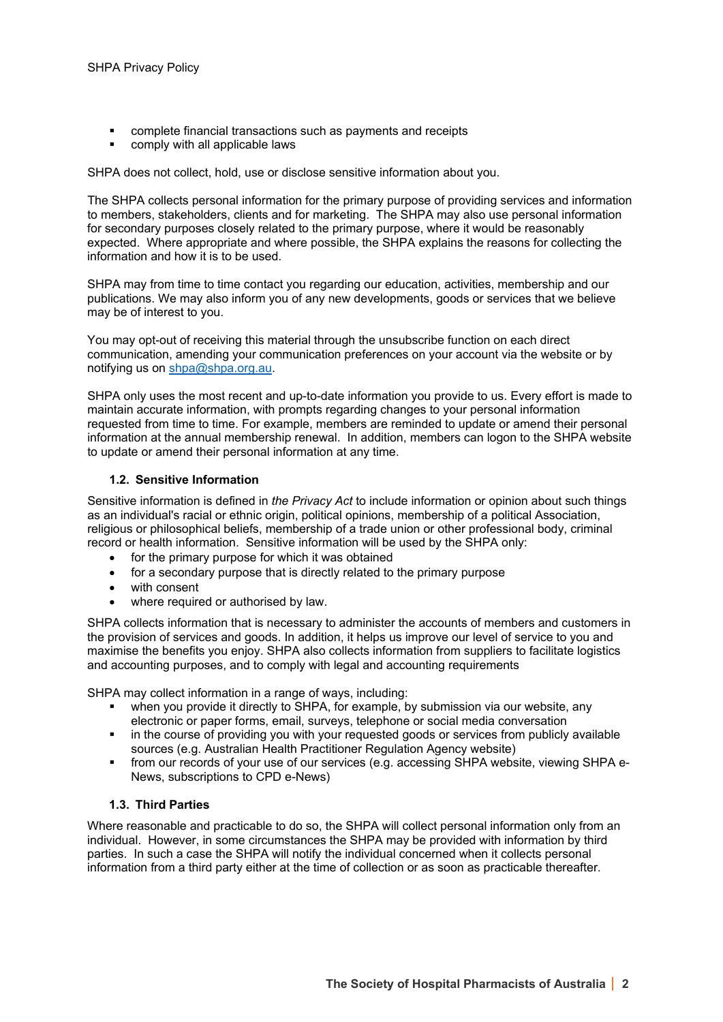- complete financial transactions such as payments and receipts
- **•** comply with all applicable laws

SHPA does not collect, hold, use or disclose sensitive information about you.

The SHPA collects personal information for the primary purpose of providing services and information to members, stakeholders, clients and for marketing. The SHPA may also use personal information for secondary purposes closely related to the primary purpose, where it would be reasonably expected. Where appropriate and where possible, the SHPA explains the reasons for collecting the information and how it is to be used.

SHPA may from time to time contact you regarding our education, activities, membership and our publications. We may also inform you of any new developments, goods or services that we believe may be of interest to you.

You may opt-out of receiving this material through the unsubscribe function on each direct communication, amending your communication preferences on your account via the website or by notifying us on [shpa@shpa.org.au.](mailto:shpa@shpa.org.au)

SHPA only uses the most recent and up-to-date information you provide to us. Every effort is made to maintain accurate information, with prompts regarding changes to your personal information requested from time to time. For example, members are reminded to update or amend their personal information at the annual membership renewal. In addition, members can logon to the SHPA website to update or amend their personal information at any time.

#### **1.2. Sensitive Information**

Sensitive information is defined in *the Privacy Act* to include information or opinion about such things as an individual's racial or ethnic origin, political opinions, membership of a political Association, religious or philosophical beliefs, membership of a trade union or other professional body, criminal record or health information. Sensitive information will be used by the SHPA only:

- for the primary purpose for which it was obtained
- for a secondary purpose that is directly related to the primary purpose
- with consent
- where required or authorised by law.

SHPA collects information that is necessary to administer the accounts of members and customers in the provision of services and goods. In addition, it helps us improve our level of service to you and maximise the benefits you enjoy. SHPA also collects information from suppliers to facilitate logistics and accounting purposes, and to comply with legal and accounting requirements

SHPA may collect information in a range of ways, including:

- when you provide it directly to SHPA, for example, by submission via our website, any electronic or paper forms, email, surveys, telephone or social media conversation
- in the course of providing you with your requested goods or services from publicly available sources (e.g. Australian Health Practitioner Regulation Agency website)
- from our records of your use of our services (e.g. accessing SHPA website, viewing SHPA e-News, subscriptions to CPD e-News)

### **1.3. Third Parties**

Where reasonable and practicable to do so, the SHPA will collect personal information only from an individual. However, in some circumstances the SHPA may be provided with information by third parties. In such a case the SHPA will notify the individual concerned when it collects personal information from a third party either at the time of collection or as soon as practicable thereafter.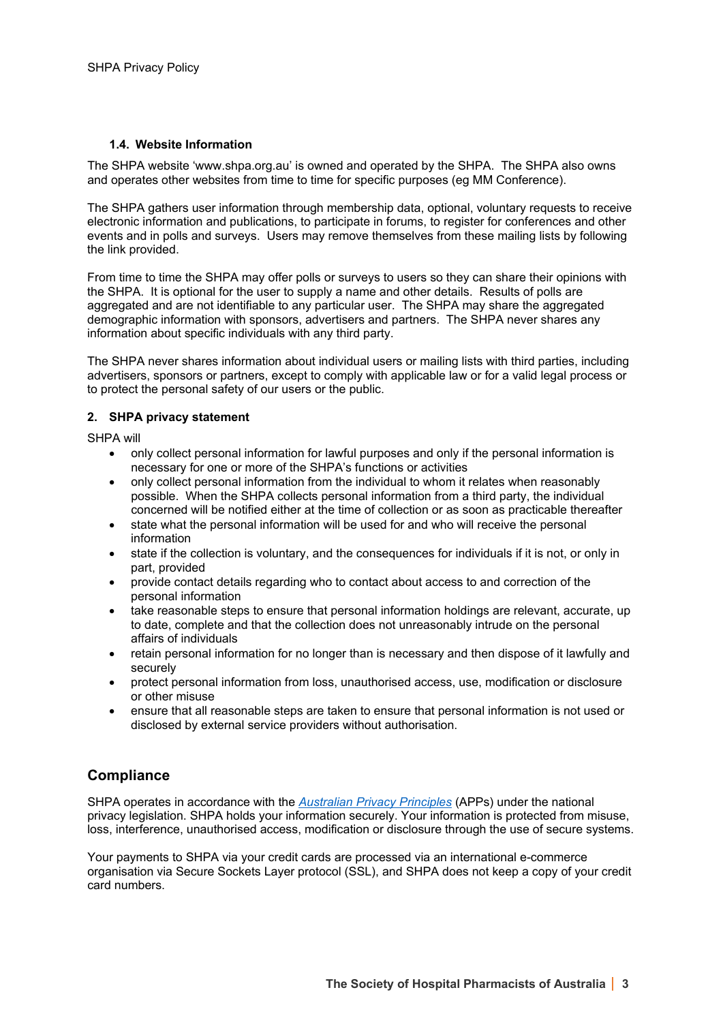### **1.4. Website Information**

The SHPA website 'www.shpa.org.au' is owned and operated by the SHPA. The SHPA also owns and operates other websites from time to time for specific purposes (eg MM Conference).

The SHPA gathers user information through membership data, optional, voluntary requests to receive electronic information and publications, to participate in forums, to register for conferences and other events and in polls and surveys. Users may remove themselves from these mailing lists by following the link provided.

From time to time the SHPA may offer polls or surveys to users so they can share their opinions with the SHPA. It is optional for the user to supply a name and other details. Results of polls are aggregated and are not identifiable to any particular user. The SHPA may share the aggregated demographic information with sponsors, advertisers and partners. The SHPA never shares any information about specific individuals with any third party.

The SHPA never shares information about individual users or mailing lists with third parties, including advertisers, sponsors or partners, except to comply with applicable law or for a valid legal process or to protect the personal safety of our users or the public.

#### **2. SHPA privacy statement**

SHPA will

- only collect personal information for lawful purposes and only if the personal information is necessary for one or more of the SHPA's functions or activities
- only collect personal information from the individual to whom it relates when reasonably possible. When the SHPA collects personal information from a third party, the individual concerned will be notified either at the time of collection or as soon as practicable thereafter
- state what the personal information will be used for and who will receive the personal information
- state if the collection is voluntary, and the consequences for individuals if it is not, or only in part, provided
- provide contact details regarding who to contact about access to and correction of the personal information
- take reasonable steps to ensure that personal information holdings are relevant, accurate, up to date, complete and that the collection does not unreasonably intrude on the personal affairs of individuals
- retain personal information for no longer than is necessary and then dispose of it lawfully and securely
- protect personal information from loss, unauthorised access, use, modification or disclosure or other misuse
- ensure that all reasonable steps are taken to ensure that personal information is not used or disclosed by external service providers without authorisation.

## **Compliance**

SHPA operates in accordance with the *[Australian Privacy Principles](https://www.oaic.gov.au/privacy-law/privacy-act/australian-privacy-principles)* (APPs) under the national privacy legislation. SHPA holds your information securely. Your information is protected from misuse, loss, interference, unauthorised access, modification or disclosure through the use of secure systems.

Your payments to SHPA via your credit cards are processed via an international e-commerce organisation via Secure Sockets Layer protocol (SSL), and SHPA does not keep a copy of your credit card numbers.